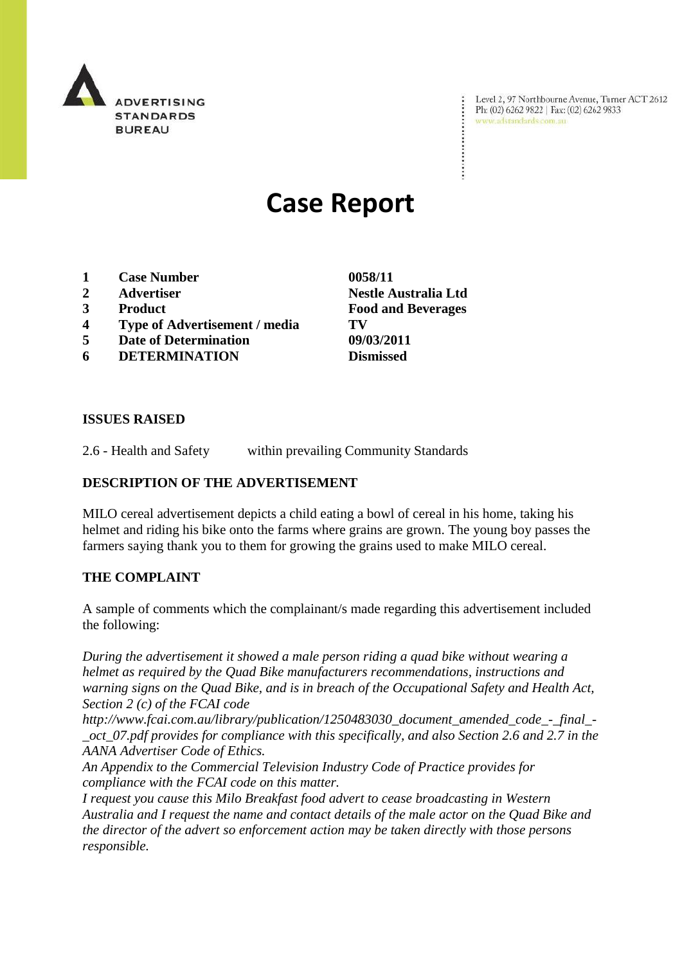

Level 2, 97 Northbourne Avenue, Turner ACT 2612 Ph: (02) 6262 9822 | Fax: (02) 6262 9833 www.adstandards.com.au

 $\ddot{\cdot}$ 

# **Case Report**

- **1 Case Number 0058/11**
- **2 Advertiser Nestle Australia Ltd**
- **3 Product Food and Beverages**
- **4 Type of Advertisement / media TV**
- **5 Date of Determination 09/03/2011**
- **6 DETERMINATION Dismissed**

**ISSUES RAISED**

2.6 - Health and Safety within prevailing Community Standards

## **DESCRIPTION OF THE ADVERTISEMENT**

MILO cereal advertisement depicts a child eating a bowl of cereal in his home, taking his helmet and riding his bike onto the farms where grains are grown. The young boy passes the farmers saying thank you to them for growing the grains used to make MILO cereal.

#### **THE COMPLAINT**

A sample of comments which the complainant/s made regarding this advertisement included the following:

*During the advertisement it showed a male person riding a quad bike without wearing a helmet as required by the Quad Bike manufacturers recommendations, instructions and warning signs on the Quad Bike, and is in breach of the Occupational Safety and Health Act, Section 2 (c) of the FCAI code* 

*http://www.fcai.com.au/library/publication/1250483030\_document\_amended\_code\_-\_final\_- \_oct\_07.pdf provides for compliance with this specifically, and also Section 2.6 and 2.7 in the AANA Advertiser Code of Ethics.*

*An Appendix to the Commercial Television Industry Code of Practice provides for compliance with the FCAI code on this matter.*

*I request you cause this Milo Breakfast food advert to cease broadcasting in Western Australia and I request the name and contact details of the male actor on the Quad Bike and the director of the advert so enforcement action may be taken directly with those persons responsible.*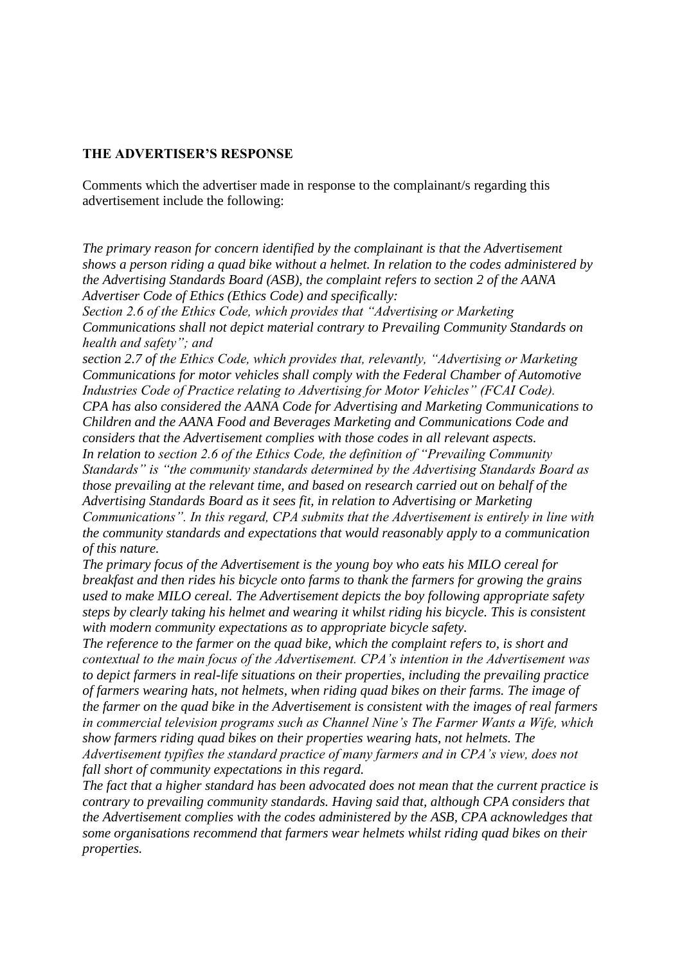### **THE ADVERTISER'S RESPONSE**

Comments which the advertiser made in response to the complainant/s regarding this advertisement include the following:

*The primary reason for concern identified by the complainant is that the Advertisement shows a person riding a quad bike without a helmet. In relation to the codes administered by the Advertising Standards Board (ASB), the complaint refers to section 2 of the AANA Advertiser Code of Ethics (Ethics Code) and specifically:* 

*Section 2.6 of the Ethics Code, which provides that "Advertising or Marketing Communications shall not depict material contrary to Prevailing Community Standards on health and safety"; and* 

*section 2.7 of the Ethics Code, which provides that, relevantly, "Advertising or Marketing Communications for motor vehicles shall comply with the Federal Chamber of Automotive Industries Code of Practice relating to Advertising for Motor Vehicles" (FCAI Code). CPA has also considered the AANA Code for Advertising and Marketing Communications to Children and the AANA Food and Beverages Marketing and Communications Code and considers that the Advertisement complies with those codes in all relevant aspects. In relation to section 2.6 of the Ethics Code, the definition of "Prevailing Community Standards" is "the community standards determined by the Advertising Standards Board as those prevailing at the relevant time, and based on research carried out on behalf of the Advertising Standards Board as it sees fit, in relation to Advertising or Marketing Communications". In this regard, CPA submits that the Advertisement is entirely in line with the community standards and expectations that would reasonably apply to a communication of this nature.* 

*The primary focus of the Advertisement is the young boy who eats his MILO cereal for breakfast and then rides his bicycle onto farms to thank the farmers for growing the grains used to make MILO cereal. The Advertisement depicts the boy following appropriate safety steps by clearly taking his helmet and wearing it whilst riding his bicycle. This is consistent with modern community expectations as to appropriate bicycle safety.* 

*The reference to the farmer on the quad bike, which the complaint refers to, is short and contextual to the main focus of the Advertisement. CPA's intention in the Advertisement was to depict farmers in real-life situations on their properties, including the prevailing practice of farmers wearing hats, not helmets, when riding quad bikes on their farms. The image of the farmer on the quad bike in the Advertisement is consistent with the images of real farmers in commercial television programs such as Channel Nine's The Farmer Wants a Wife, which show farmers riding quad bikes on their properties wearing hats, not helmets. The Advertisement typifies the standard practice of many farmers and in CPA's view, does not fall short of community expectations in this regard.* 

*The fact that a higher standard has been advocated does not mean that the current practice is contrary to prevailing community standards. Having said that, although CPA considers that the Advertisement complies with the codes administered by the ASB, CPA acknowledges that some organisations recommend that farmers wear helmets whilst riding quad bikes on their properties.*